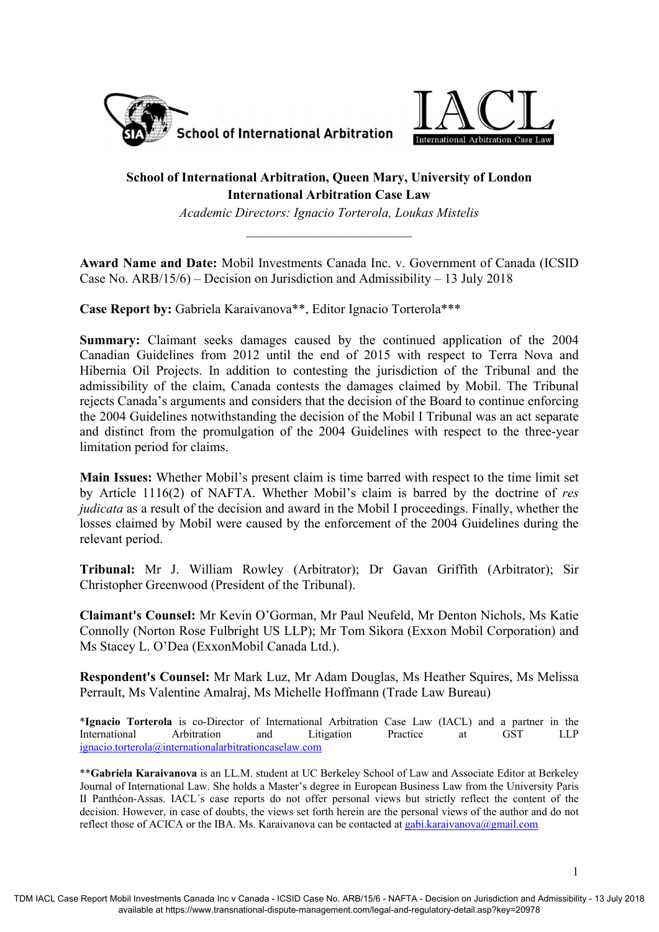



# **School of International Arbitration, Queen Mary, University of London International Arbitration Case Law**

*Academic Directors: Ignacio Torterola, Loukas Mistelis* 

**Award Name and Date:** Mobil Investments Canada Inc. v. Government of Canada (ICSID Case No. ARB/15/6) – Decision on Jurisdiction and Admissibility – 13 July 2018

**Case Report by:** Gabriela Karaivanova\*\*, Editor Ignacio Torterola\*\*\*

**Summary:** Claimant seeks damages caused by the continued application of the 2004 Canadian Guidelines from 2012 until the end of 2015 with respect to Terra Nova and Hibernia Oil Projects. In addition to contesting the jurisdiction of the Tribunal and the admissibility of the claim, Canada contests the damages claimed by Mobil. The Tribunal rejects Canada's arguments and considers that the decision of the Board to continue enforcing the 2004 Guidelines notwithstanding the decision of the Mobil I Tribunal was an act separate and distinct from the promulgation of the 2004 Guidelines with respect to the three-year limitation period for claims.

**Main Issues:** Whether Mobil's present claim is time barred with respect to the time limit set by Article 1116(2) of NAFTA. Whether Mobil's claim is barred by the doctrine of *res judicata* as a result of the decision and award in the Mobil I proceedings. Finally, whether the losses claimed by Mobil were caused by the enforcement of the 2004 Guidelines during the relevant period.

**Tribunal:** Mr J. William Rowley (Arbitrator); Dr Gavan Griffith (Arbitrator); Sir Christopher Greenwood (President of the Tribunal).

**Claimant's Counsel:** Mr Kevin O'Gorman, Mr Paul Neufeld, Mr Denton Nichols, Ms Katie Connolly (Norton Rose Fulbright US LLP); Mr Tom Sikora (Exxon Mobil Corporation) and Ms Stacey L. O'Dea (ExxonMobil Canada Ltd.).

**Respondent's Counsel:** Mr Mark Luz, Mr Adam Douglas, Ms Heather Squires, Ms Melissa Perrault, Ms Valentine Amalraj, Ms Michelle Hoffmann (Trade Law Bureau)

\***Ignacio Torterola** is co-Director of International Arbitration Case Law (IACL) and a partner in the International Arbitration and Litigation Practice at GST LLP ignacio.torterola@internationalarbitrationcaselaw.com

\*\***Gabriela Karaivanova** is an LL.M. student at UC Berkeley School of Law and Associate Editor at Berkeley Journal of International Law. She holds a Master's degree in European Business Law from the University Paris II Panthéon-Assas. IACL´s case reports do not offer personal views but strictly reflect the content of the decision. However, in case of doubts, the views set forth herein are the personal views of the author and do not reflect those of ACICA or the IBA. Ms. Karaivanova can be contacted at gabi.karaivanova@gmail.com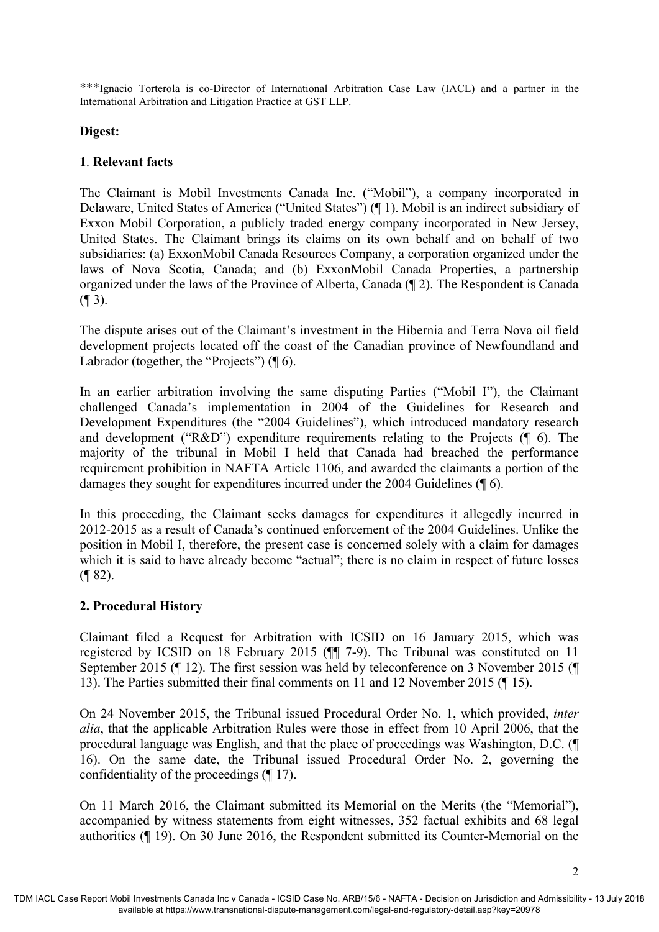\*\*\*Ignacio Torterola is co-Director of International Arbitration Case Law (IACL) and a partner in the International Arbitration and Litigation Practice at GST LLP.

#### **Digest:**

#### **1**. **Relevant facts**

The Claimant is Mobil Investments Canada Inc. ("Mobil"), a company incorporated in Delaware, United States of America ("United States") (¶ 1). Mobil is an indirect subsidiary of Exxon Mobil Corporation, a publicly traded energy company incorporated in New Jersey, United States. The Claimant brings its claims on its own behalf and on behalf of two subsidiaries: (a) ExxonMobil Canada Resources Company, a corporation organized under the laws of Nova Scotia, Canada; and (b) ExxonMobil Canada Properties, a partnership organized under the laws of the Province of Alberta, Canada (¶ 2). The Respondent is Canada  $($  | 3).

The dispute arises out of the Claimant's investment in the Hibernia and Terra Nova oil field development projects located off the coast of the Canadian province of Newfoundland and Labrador (together, the "Projects") ( $\P$  6).

In an earlier arbitration involving the same disputing Parties ("Mobil I"), the Claimant challenged Canada's implementation in 2004 of the Guidelines for Research and Development Expenditures (the "2004 Guidelines"), which introduced mandatory research and development ("R&D") expenditure requirements relating to the Projects (¶ 6). The majority of the tribunal in Mobil I held that Canada had breached the performance requirement prohibition in NAFTA Article 1106, and awarded the claimants a portion of the damages they sought for expenditures incurred under the 2004 Guidelines (¶ 6).

In this proceeding, the Claimant seeks damages for expenditures it allegedly incurred in 2012-2015 as a result of Canada's continued enforcement of the 2004 Guidelines. Unlike the position in Mobil I, therefore, the present case is concerned solely with a claim for damages which it is said to have already become "actual"; there is no claim in respect of future losses (¶ 82).

## **2. Procedural History**

Claimant filed a Request for Arbitration with ICSID on 16 January 2015, which was registered by ICSID on 18 February 2015 (¶¶ 7-9). The Tribunal was constituted on 11 September 2015 (¶ 12). The first session was held by teleconference on 3 November 2015 (¶ 13). The Parties submitted their final comments on 11 and 12 November 2015 (¶ 15).

On 24 November 2015, the Tribunal issued Procedural Order No. 1, which provided, *inter alia*, that the applicable Arbitration Rules were those in effect from 10 April 2006, that the procedural language was English, and that the place of proceedings was Washington, D.C. (¶ 16). On the same date, the Tribunal issued Procedural Order No. 2, governing the confidentiality of the proceedings (¶ 17).

On 11 March 2016, the Claimant submitted its Memorial on the Merits (the "Memorial"), accompanied by witness statements from eight witnesses, 352 factual exhibits and 68 legal authorities (¶ 19). On 30 June 2016, the Respondent submitted its Counter-Memorial on the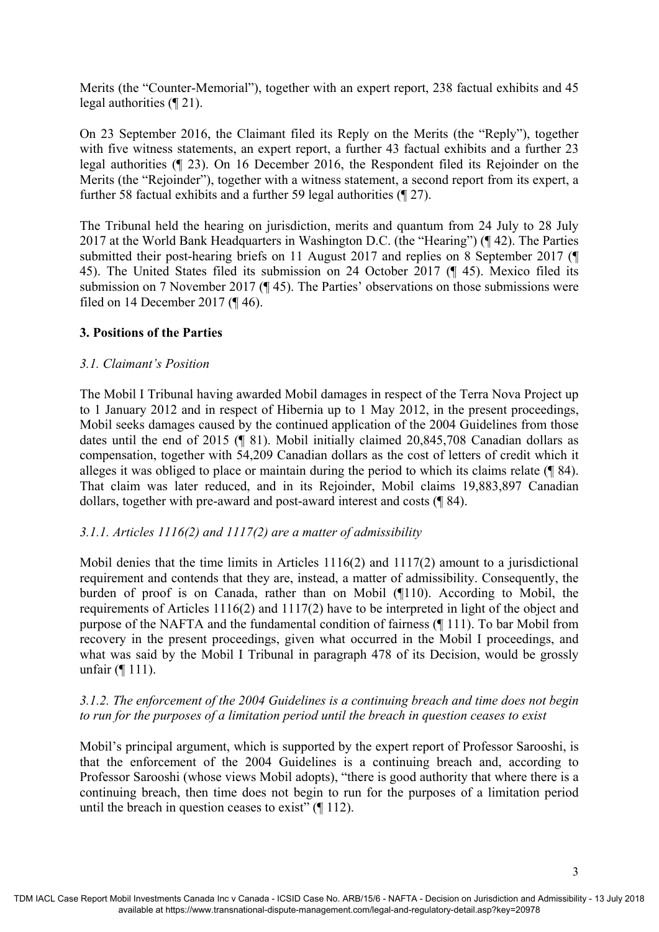Merits (the "Counter-Memorial"), together with an expert report, 238 factual exhibits and 45 legal authorities (¶ 21).

On 23 September 2016, the Claimant filed its Reply on the Merits (the "Reply"), together with five witness statements, an expert report, a further 43 factual exhibits and a further 23 legal authorities (¶ 23). On 16 December 2016, the Respondent filed its Rejoinder on the Merits (the "Rejoinder"), together with a witness statement, a second report from its expert, a further 58 factual exhibits and a further 59 legal authorities (¶ 27).

The Tribunal held the hearing on jurisdiction, merits and quantum from 24 July to 28 July 2017 at the World Bank Headquarters in Washington D.C. (the "Hearing") (¶ 42). The Parties submitted their post-hearing briefs on 11 August 2017 and replies on 8 September 2017 (¶ 45). The United States filed its submission on 24 October 2017 (¶ 45). Mexico filed its submission on 7 November 2017 (¶ 45). The Parties' observations on those submissions were filed on 14 December 2017 (¶ 46).

## **3. Positions of the Parties**

## *3.1. Claimant's Position*

The Mobil I Tribunal having awarded Mobil damages in respect of the Terra Nova Project up to 1 January 2012 and in respect of Hibernia up to 1 May 2012, in the present proceedings, Mobil seeks damages caused by the continued application of the 2004 Guidelines from those dates until the end of 2015 (¶ 81). Mobil initially claimed 20,845,708 Canadian dollars as compensation, together with 54,209 Canadian dollars as the cost of letters of credit which it alleges it was obliged to place or maintain during the period to which its claims relate (¶ 84). That claim was later reduced, and in its Rejoinder, Mobil claims 19,883,897 Canadian dollars, together with pre-award and post-award interest and costs (¶ 84).

## *3.1.1. Articles 1116(2) and 1117(2) are a matter of admissibility*

Mobil denies that the time limits in Articles 1116(2) and 1117(2) amount to a jurisdictional requirement and contends that they are, instead, a matter of admissibility. Consequently, the burden of proof is on Canada, rather than on Mobil (¶110). According to Mobil, the requirements of Articles 1116(2) and 1117(2) have to be interpreted in light of the object and purpose of the NAFTA and the fundamental condition of fairness (¶ 111). To bar Mobil from recovery in the present proceedings, given what occurred in the Mobil I proceedings, and what was said by the Mobil I Tribunal in paragraph 478 of its Decision, would be grossly unfair (¶ 111).

## *3.1.2. The enforcement of the 2004 Guidelines is a continuing breach and time does not begin to run for the purposes of a limitation period until the breach in question ceases to exist*

Mobil's principal argument, which is supported by the expert report of Professor Sarooshi, is that the enforcement of the 2004 Guidelines is a continuing breach and, according to Professor Sarooshi (whose views Mobil adopts), "there is good authority that where there is a continuing breach, then time does not begin to run for the purposes of a limitation period until the breach in question ceases to exist"  $($ [ 112).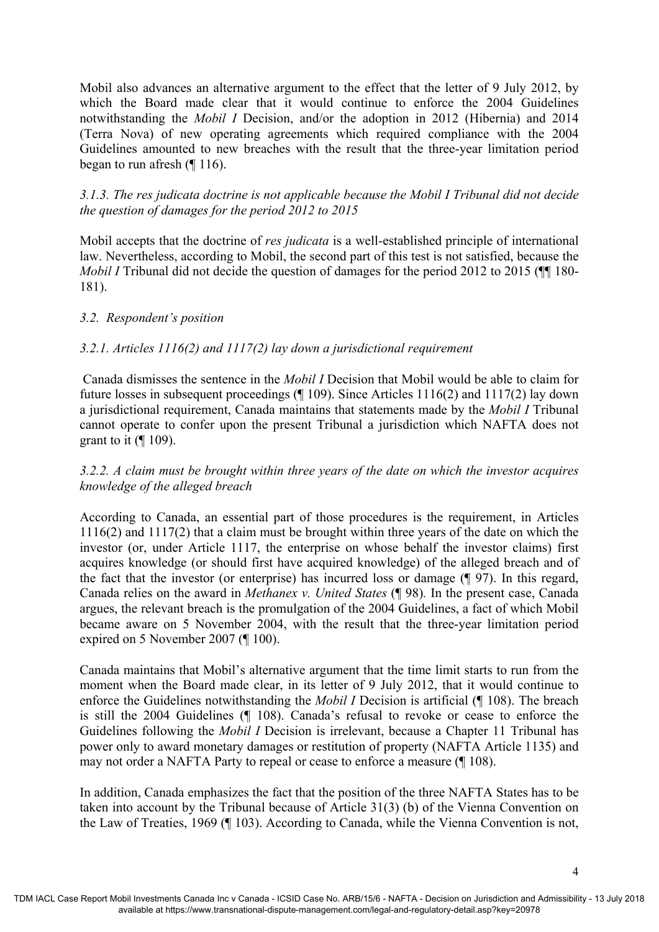Mobil also advances an alternative argument to the effect that the letter of 9 July 2012, by which the Board made clear that it would continue to enforce the 2004 Guidelines notwithstanding the *Mobil I* Decision, and/or the adoption in 2012 (Hibernia) and 2014 (Terra Nova) of new operating agreements which required compliance with the 2004 Guidelines amounted to new breaches with the result that the three-year limitation period began to run afresh (¶ 116).

## *3.1.3. The res judicata doctrine is not applicable because the Mobil I Tribunal did not decide the question of damages for the period 2012 to 2015*

Mobil accepts that the doctrine of *res judicata* is a well-established principle of international law. Nevertheless, according to Mobil, the second part of this test is not satisfied, because the *Mobil I* Tribunal did not decide the question of damages for the period 2012 to 2015 ( $\blacksquare$  180-181).

### *3.2. Respondent's position*

### *3.2.1. Articles 1116(2) and 1117(2) lay down a jurisdictional requirement*

 Canada dismisses the sentence in the *Mobil I* Decision that Mobil would be able to claim for future losses in subsequent proceedings (¶ 109). Since Articles 1116(2) and 1117(2) lay down a jurisdictional requirement, Canada maintains that statements made by the *Mobil I* Tribunal cannot operate to confer upon the present Tribunal a jurisdiction which NAFTA does not grant to it  $(\P 109)$ .

## *3.2.2. A claim must be brought within three years of the date on which the investor acquires knowledge of the alleged breach*

According to Canada, an essential part of those procedures is the requirement, in Articles 1116(2) and 1117(2) that a claim must be brought within three years of the date on which the investor (or, under Article 1117, the enterprise on whose behalf the investor claims) first acquires knowledge (or should first have acquired knowledge) of the alleged breach and of the fact that the investor (or enterprise) has incurred loss or damage (¶ 97). In this regard, Canada relies on the award in *Methanex v. United States* (¶ 98)*.* In the present case, Canada argues, the relevant breach is the promulgation of the 2004 Guidelines, a fact of which Mobil became aware on 5 November 2004, with the result that the three-year limitation period expired on 5 November 2007 (¶ 100).

Canada maintains that Mobil's alternative argument that the time limit starts to run from the moment when the Board made clear, in its letter of 9 July 2012, that it would continue to enforce the Guidelines notwithstanding the *Mobil I* Decision is artificial (¶ 108). The breach is still the 2004 Guidelines (¶ 108). Canada's refusal to revoke or cease to enforce the Guidelines following the *Mobil I* Decision is irrelevant, because a Chapter 11 Tribunal has power only to award monetary damages or restitution of property (NAFTA Article 1135) and may not order a NAFTA Party to repeal or cease to enforce a measure (¶ 108).

In addition, Canada emphasizes the fact that the position of the three NAFTA States has to be taken into account by the Tribunal because of Article 31(3) (b) of the Vienna Convention on the Law of Treaties, 1969 (¶ 103). According to Canada, while the Vienna Convention is not,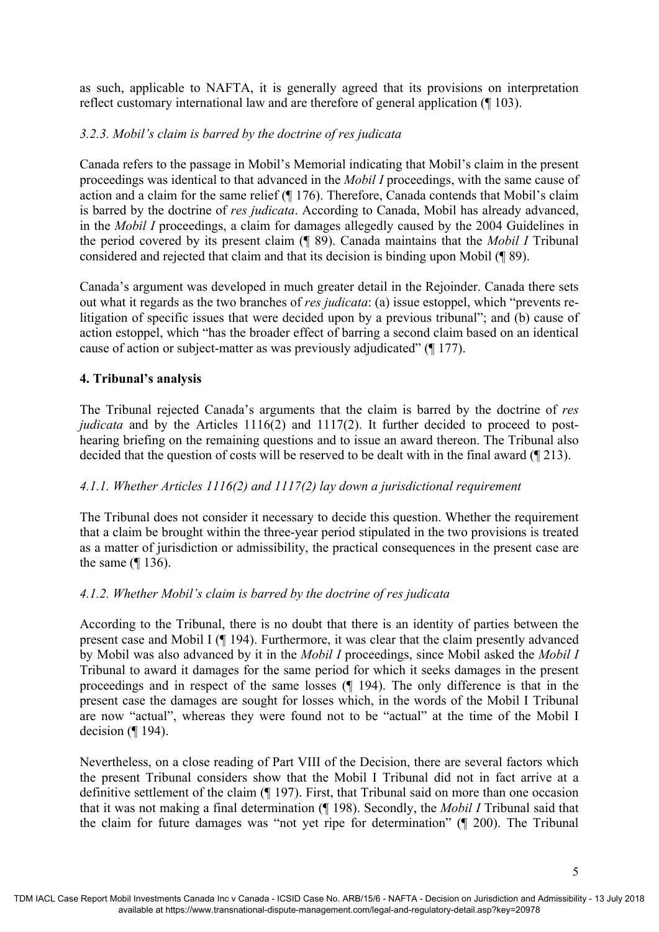as such, applicable to NAFTA, it is generally agreed that its provisions on interpretation reflect customary international law and are therefore of general application (¶ 103).

# *3.2.3. Mobil's claim is barred by the doctrine of res judicata*

Canada refers to the passage in Mobil's Memorial indicating that Mobil's claim in the present proceedings was identical to that advanced in the *Mobil I* proceedings, with the same cause of action and a claim for the same relief (¶ 176). Therefore, Canada contends that Mobil's claim is barred by the doctrine of *res judicata*. According to Canada, Mobil has already advanced, in the *Mobil I* proceedings, a claim for damages allegedly caused by the 2004 Guidelines in the period covered by its present claim (¶ 89). Canada maintains that the *Mobil I* Tribunal considered and rejected that claim and that its decision is binding upon Mobil (¶ 89).

Canada's argument was developed in much greater detail in the Rejoinder. Canada there sets out what it regards as the two branches of *res judicata*: (a) issue estoppel, which "prevents relitigation of specific issues that were decided upon by a previous tribunal"; and (b) cause of action estoppel, which "has the broader effect of barring a second claim based on an identical cause of action or subject-matter as was previously adjudicated" (¶ 177).

## **4. Tribunal's analysis**

The Tribunal rejected Canada's arguments that the claim is barred by the doctrine of *res judicata* and by the Articles 1116(2) and 1117(2). It further decided to proceed to posthearing briefing on the remaining questions and to issue an award thereon. The Tribunal also decided that the question of costs will be reserved to be dealt with in the final award (¶ 213).

## *4.1.1. Whether Articles 1116(2) and 1117(2) lay down a jurisdictional requirement*

The Tribunal does not consider it necessary to decide this question. Whether the requirement that a claim be brought within the three-year period stipulated in the two provisions is treated as a matter of jurisdiction or admissibility, the practical consequences in the present case are the same (¶ 136).

## *4.1.2. Whether Mobil's claim is barred by the doctrine of res judicata*

According to the Tribunal, there is no doubt that there is an identity of parties between the present case and Mobil I (¶ 194). Furthermore, it was clear that the claim presently advanced by Mobil was also advanced by it in the *Mobil I* proceedings, since Mobil asked the *Mobil I* Tribunal to award it damages for the same period for which it seeks damages in the present proceedings and in respect of the same losses (¶ 194). The only difference is that in the present case the damages are sought for losses which, in the words of the Mobil I Tribunal are now "actual", whereas they were found not to be "actual" at the time of the Mobil I decision  $($ [ 194).

Nevertheless, on a close reading of Part VIII of the Decision, there are several factors which the present Tribunal considers show that the Mobil I Tribunal did not in fact arrive at a definitive settlement of the claim (¶ 197). First, that Tribunal said on more than one occasion that it was not making a final determination (¶ 198). Secondly, the *Mobil I* Tribunal said that the claim for future damages was "not yet ripe for determination" (¶ 200). The Tribunal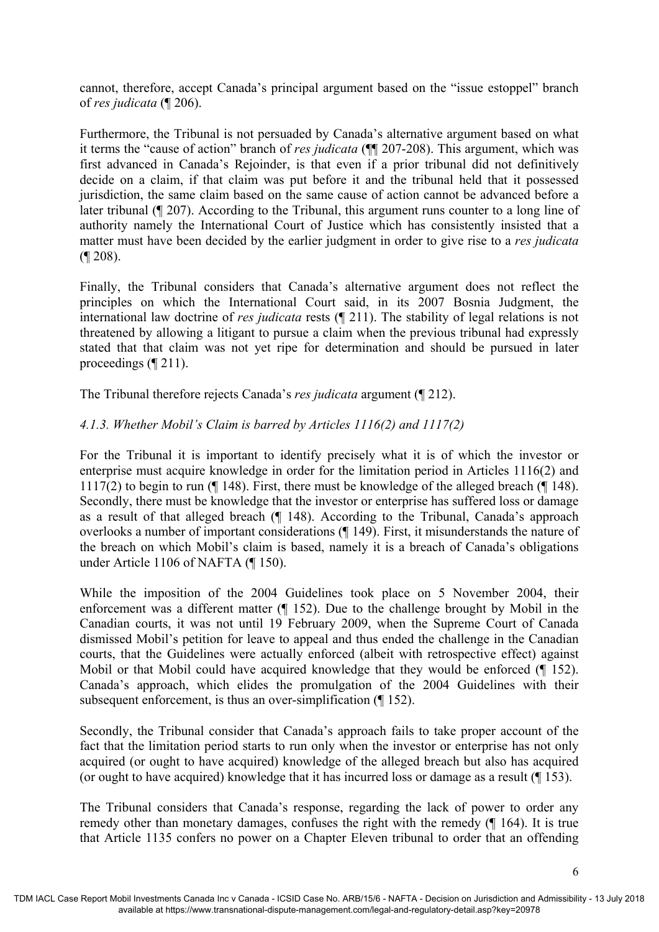cannot, therefore, accept Canada's principal argument based on the "issue estoppel" branch of *res judicata* (¶ 206).

Furthermore, the Tribunal is not persuaded by Canada's alternative argument based on what it terms the "cause of action" branch of *res judicata* (¶¶ 207-208). This argument, which was first advanced in Canada's Rejoinder, is that even if a prior tribunal did not definitively decide on a claim, if that claim was put before it and the tribunal held that it possessed jurisdiction, the same claim based on the same cause of action cannot be advanced before a later tribunal (¶ 207). According to the Tribunal, this argument runs counter to a long line of authority namely the International Court of Justice which has consistently insisted that a matter must have been decided by the earlier judgment in order to give rise to a *res judicata* (¶ 208).

Finally, the Tribunal considers that Canada's alternative argument does not reflect the principles on which the International Court said, in its 2007 Bosnia Judgment, the international law doctrine of *res judicata* rests (¶ 211). The stability of legal relations is not threatened by allowing a litigant to pursue a claim when the previous tribunal had expressly stated that that claim was not yet ripe for determination and should be pursued in later proceedings (¶ 211).

The Tribunal therefore rejects Canada's *res judicata* argument (¶ 212).

### *4.1.3. Whether Mobil's Claim is barred by Articles 1116(2) and 1117(2)*

For the Tribunal it is important to identify precisely what it is of which the investor or enterprise must acquire knowledge in order for the limitation period in Articles 1116(2) and 1117(2) to begin to run (¶ 148). First, there must be knowledge of the alleged breach (¶ 148). Secondly, there must be knowledge that the investor or enterprise has suffered loss or damage as a result of that alleged breach (¶ 148). According to the Tribunal, Canada's approach overlooks a number of important considerations (¶ 149). First, it misunderstands the nature of the breach on which Mobil's claim is based, namely it is a breach of Canada's obligations under Article 1106 of NAFTA (¶ 150).

While the imposition of the 2004 Guidelines took place on 5 November 2004, their enforcement was a different matter (¶ 152). Due to the challenge brought by Mobil in the Canadian courts, it was not until 19 February 2009, when the Supreme Court of Canada dismissed Mobil's petition for leave to appeal and thus ended the challenge in the Canadian courts, that the Guidelines were actually enforced (albeit with retrospective effect) against Mobil or that Mobil could have acquired knowledge that they would be enforced (¶ 152). Canada's approach, which elides the promulgation of the 2004 Guidelines with their subsequent enforcement, is thus an over-simplification (¶ 152).

Secondly, the Tribunal consider that Canada's approach fails to take proper account of the fact that the limitation period starts to run only when the investor or enterprise has not only acquired (or ought to have acquired) knowledge of the alleged breach but also has acquired (or ought to have acquired) knowledge that it has incurred loss or damage as a result (¶ 153).

The Tribunal considers that Canada's response, regarding the lack of power to order any remedy other than monetary damages, confuses the right with the remedy (¶ 164). It is true that Article 1135 confers no power on a Chapter Eleven tribunal to order that an offending